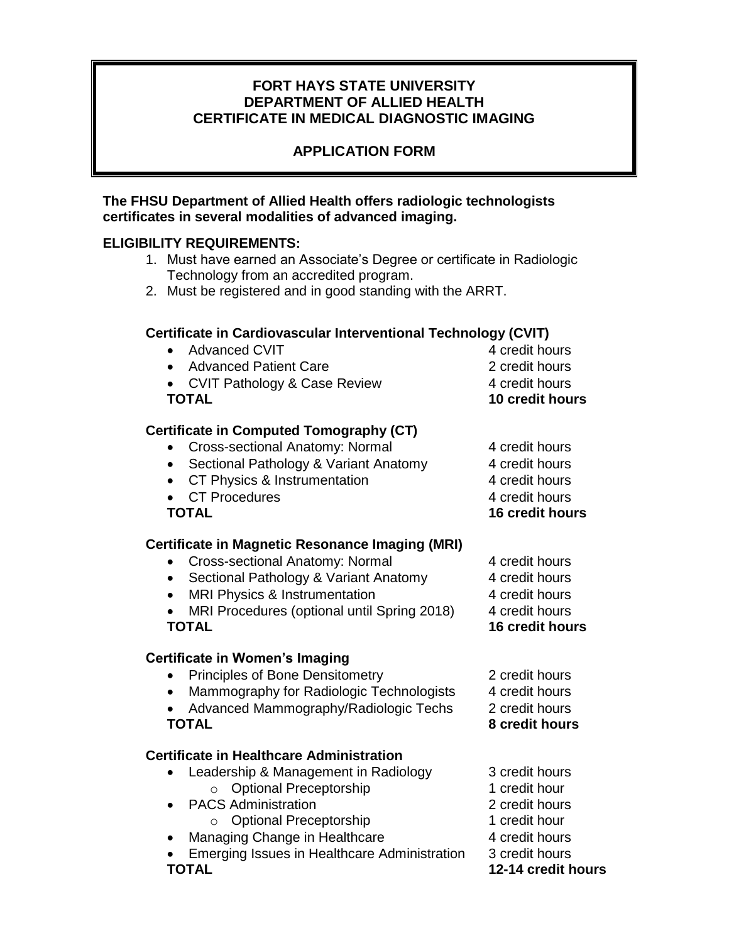# **FORT HAYS STATE UNIVERSITY DEPARTMENT OF ALLIED HEALTH CERTIFICATE IN MEDICAL DIAGNOSTIC IMAGING**

# **APPLICATION FORM**

### **The FHSU Department of Allied Health offers radiologic technologists certificates in several modalities of advanced imaging.**

# **ELIGIBILITY REQUIREMENTS:**

- 1. Must have earned an Associate's Degree or certificate in Radiologic Technology from an accredited program.
- 2. Must be registered and in good standing with the ARRT.

### **Certificate in Cardiovascular Interventional Technology (CVIT)**

- Advanced CVIT 4 credit hours • Advanced Patient Care 2 credit hours • CVIT Pathology & Case Review 4 credit hours **TOTAL 10 credit hours Certificate in Computed Tomography (CT)**  • Cross-sectional Anatomy: Normal 4 credit hours • Sectional Pathology & Variant Anatomy 4 credit hours • CT Physics & Instrumentation 4 credit hours • CT Procedures 4 credit hours **TOTAL 16 credit hours Certificate in Magnetic Resonance Imaging (MRI)**  • Cross-sectional Anatomy: Normal 4 credit hours • Sectional Pathology & Variant Anatomy 4 credit hours • MRI Physics & Instrumentation 4 credit hours • MRI Procedures (optional until Spring 2018) 4 credit hours **TOTAL 16 credit hours Certificate in Women's Imaging** 
	- Principles of Bone Densitometry 2 credit hours
	- Mammography for Radiologic Technologists 4 credit hours
	- Advanced Mammography/Radiologic Techs 2 credit hours **TOTAL 8 credit hours**

### **Certificate in Healthcare Administration**

- Leadership & Management in Radiology 3 credit hours o Optional Preceptorship 1 credit hour
- PACS Administration 2 credit hours
	- o Optional Preceptorship 1 credit hour
- Managing Change in Healthcare 4 credit hours
- Emerging Issues in Healthcare Administration 3 credit hours **TOTAL 12-14 credit hours**
- 
- 
- 
- 
- 
- 
- 
-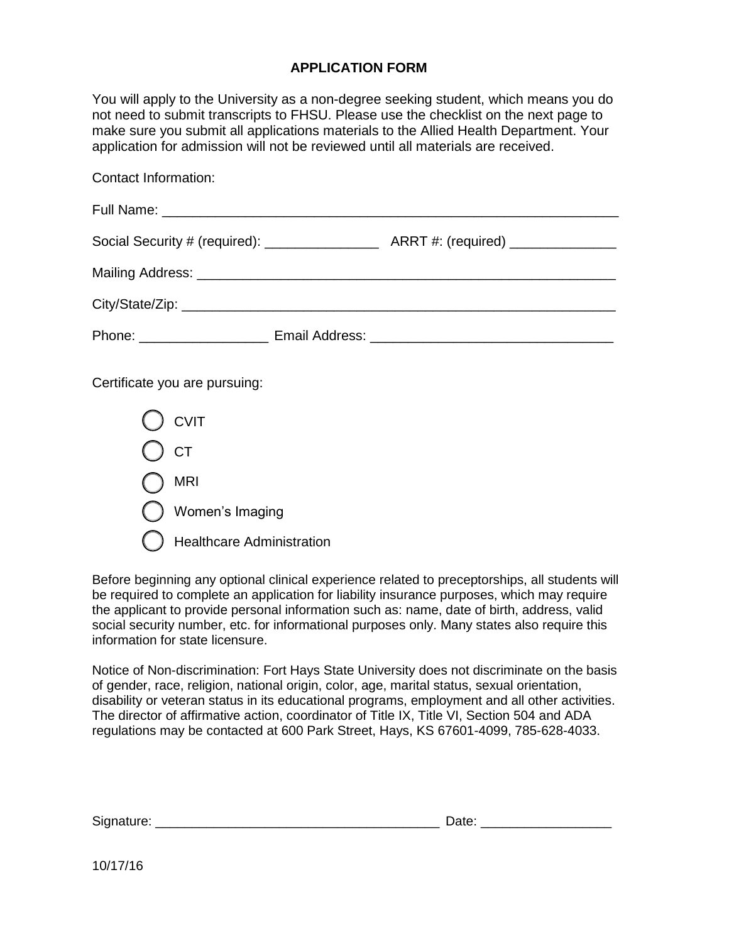#### **APPLICATION FORM**

You will apply to the University as a non-degree seeking student, which means you do not need to submit transcripts to FHSU. Please use the checklist on the next page to make sure you submit all applications materials to the Allied Health Department. Your application for admission will not be reviewed until all materials are received.

| Contact information.          |  |
|-------------------------------|--|
|                               |  |
|                               |  |
|                               |  |
|                               |  |
|                               |  |
| Certificate you are pursuing: |  |
| ) CVIT                        |  |
| ) ст                          |  |
| <b>MRI</b>                    |  |
| Women's Imaging               |  |

Healthcare Administration

Contact Information:

Before beginning any optional clinical experience related to preceptorships, all students will be required to complete an application for liability insurance purposes, which may require the applicant to provide personal information such as: name, date of birth, address, valid social security number, etc. for informational purposes only. Many states also require this information for state licensure.

Notice of Non-discrimination: Fort Hays State University does not discriminate on the basis of gender, race, religion, national origin, color, age, marital status, sexual orientation, disability or veteran status in its educational programs, employment and all other activities. The director of affirmative action, coordinator of Title IX, Title VI, Section 504 and ADA regulations may be contacted at 600 Park Street, Hays, KS 67601-4099, 785-628-4033.

| Sign<br>$\cdots$ | . .<br>---<br>-- |
|------------------|------------------|
|------------------|------------------|

10/17/16